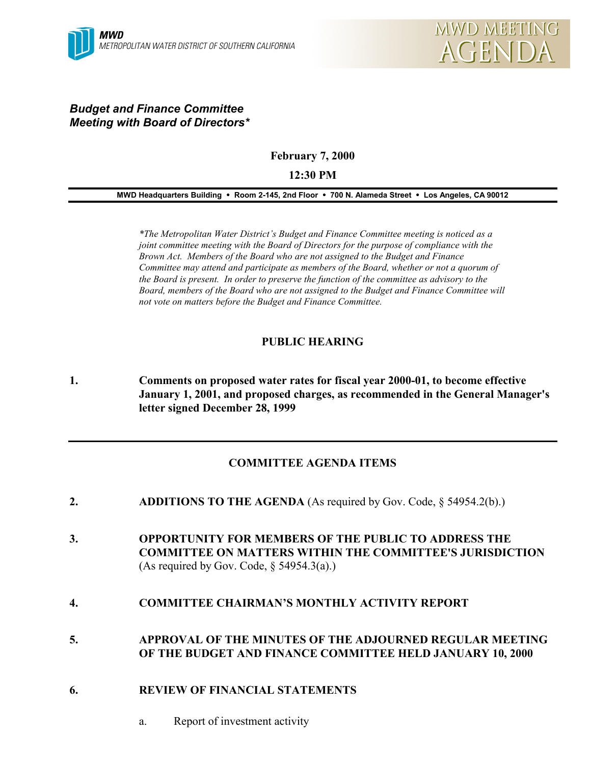

## *Budget and Finance Committee Meeting with Board of Directors\**

## **February 7, 2000**

## **12:30 PM**

**MWD Headquarters Building** ! **Room 2-145, 2nd Floor** ! **700 N. Alameda Street** ! **Los Angeles, CA 90012**

*\*The Metropolitan Water District's Budget and Finance Committee meeting is noticed as a joint committee meeting with the Board of Directors for the purpose of compliance with the Brown Act. Members of the Board who are not assigned to the Budget and Finance Committee may attend and participate as members of the Board, whether or not a quorum of the Board is present. In order to preserve the function of the committee as advisory to the Board, members of the Board who are not assigned to the Budget and Finance Committee will not vote on matters before the Budget and Finance Committee.*

# **PUBLIC HEARING**

**1. Comments on proposed water rates for fiscal year 2000-01, to become effective January 1, 2001, and proposed charges, as recommended in the General Manager's letter signed December 28, 1999**

## **COMMITTEE AGENDA ITEMS**

- **2. ADDITIONS TO THE AGENDA** (As required by Gov. Code, § 54954.2(b).)
- **3. OPPORTUNITY FOR MEMBERS OF THE PUBLIC TO ADDRESS THE COMMITTEE ON MATTERS WITHIN THE COMMITTEE'S JURISDICTION** (As required by Gov. Code,  $\S$  54954.3(a).)

#### **4. COMMITTEE CHAIRMAN'S MONTHLY ACTIVITY REPORT**

#### **5. APPROVAL OF THE MINUTES OF THE ADJOURNED REGULAR MEETING OF THE BUDGET AND FINANCE COMMITTEE HELD JANUARY 10, 2000**

#### **6. REVIEW OF FINANCIAL STATEMENTS**

a. Report of investment activity